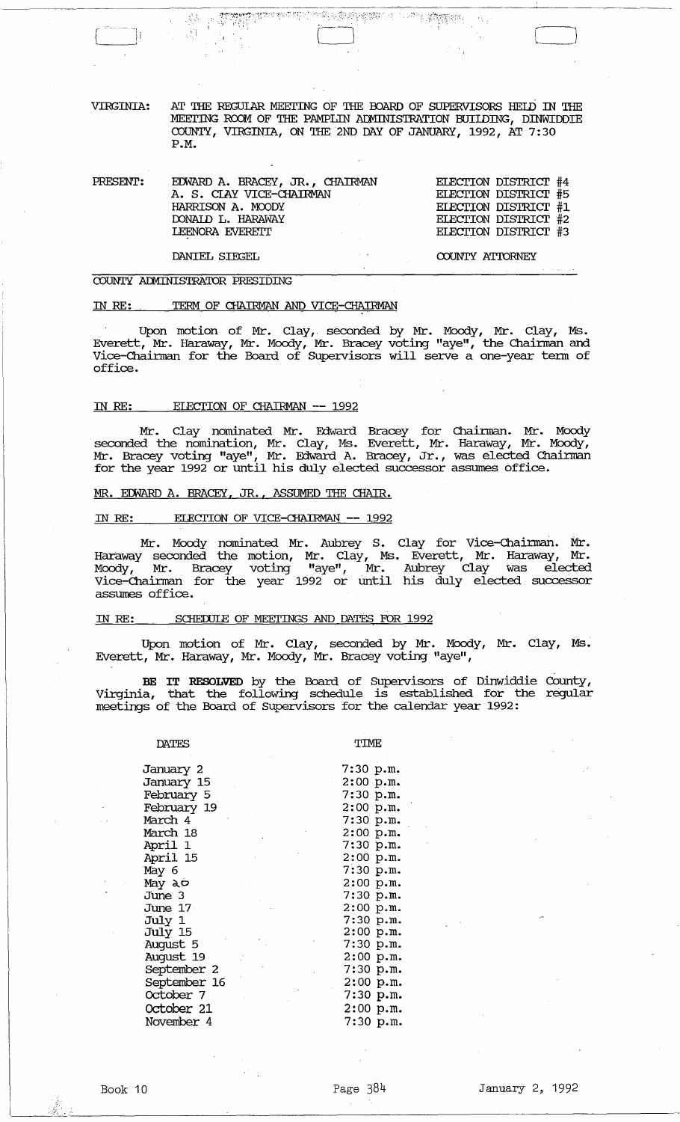AT THE REGULAR MEETING OF THE BOARD OF SUPERVISORS HELD IN THE VIRGINIA: MEETING ROOM OF THE PAMPLIN ADMINISTRATION BUILDING, DINWIDDIE COUNTY, VIRGINIA, ON THE 2ND DAY OF JANUARY, 1992, AT 7:30  $P.M.$ 

平<sup>本性: 25</sup> 各地的客户(1)

**COMPLETE SHOP** 

| PRESENT: | EDWARD A. BRACEY, JR., CHAIRMAN<br>A. S. CIAY VICE-CHAIRMAN<br>HARRISON A. MOODY<br>DONAID L. HARAWAY<br>LEENORA EVERETT<br>the control of the control of | ELECTION DISTRICT #4<br>ELECTION DISTRICT #5<br>ELECTION DISTRICT #1<br>ELECTION DISTRICT #2<br>ELECTION DISTRICT #3 |
|----------|-----------------------------------------------------------------------------------------------------------------------------------------------------------|----------------------------------------------------------------------------------------------------------------------|
|          | DANIEL SIEGEL                                                                                                                                             | COUNTY ATTORNEY                                                                                                      |

#### COUNTY ADMINISTRATOR PRESIDING

 $\pm 32$  $\mathcal{M}$ 

#### TERM OF CHAIRMAN AND VICE-CHAIRMAN IN RE:

Upon motion of Mr. Clay, seconded by Mr. Moody, Mr. Clay, Ms.<br>Everett, Mr. Haraway, Mr. Moody, Mr. Bracey voting "aye", the Chairman and<br>Vice-Chairman for the Board of Supervisors will serve a one-year term of office.

#### ELECTION OF CHAIRMAN -- 1992 IN RE:

Mr. Clay nominated Mr. Edward Bracey for Chairman. Mr. Moody<br>seconded the nomination, Mr. Clay, Ms. Everett, Mr. Haraway, Mr. Moody,<br>Mr. Bracey voting "aye", Mr. Edward A. Bracey, Jr., was elected Chairman<br>for the year 199

#### MR. EDWARD A. BRACEY, JR., ASSUMED THE CHAIR.

#### ELECTION OF VICE-CHAIRMAN -- 1992 IN RE:

Mr. Moody nominated Mr. Aubrey S. Clay for Vice-Chairman. Mr.<br>Haraway seconded the motion, Mr. Clay, Ms. Everett, Mr. Haraway, Mr.<br>Moody, Mr. Bracey voting "aye", Mr. Aubrey Clay was elected<br>Vice-Chairman for the year 1992 assumes office.

#### SCHEDULE OF MEETINGS AND DATES FOR 1992 IN RE:

Upon motion of Mr. Clay, seconded by Mr. Moody, Mr. Clay, Ms. Everett, Mr. Haraway, Mr. Moody, Mr. Bracey voting "aye",

BE IT RESOLVED by the Board of Supervisors of Dinwiddie County,<br>Virginia, that the following schedule is established for the regular meetings of the Board of Supervisors for the calendar year 1992:

#### **DATES**

TIME

| January 2    | $7:30$ p.m. |  |
|--------------|-------------|--|
| January 15   | $2:00$ p.m. |  |
| February 5   | 7:30 p.m.   |  |
| February 19  | $2:00$ p.m. |  |
| March 4      | 7:30 p.m.   |  |
| March 18     | $2:00$ p.m. |  |
| April 1      | 7:30 p.m.   |  |
| April 15     | $2:00$ p.m. |  |
| May 6        | 7:30 p.m.   |  |
| May ao       | $2:00$ p.m. |  |
| June 3       | 7:30 p.m.   |  |
| June 17      | $2:00$ p.m. |  |
| July 1       | 7:30 p.m.   |  |
| July 15      | $2:00$ p.m. |  |
| August 5     | 7:30 p.m.   |  |
| August 19    | $2:00$ p.m. |  |
| September 2  | 7:30 p.m.   |  |
| September 16 | $2:00$ p.m. |  |
| October 7    | 7:30 p.m.   |  |
| October 21   | $2:00$ p.m. |  |
| November 4   | 7:30 p.m.   |  |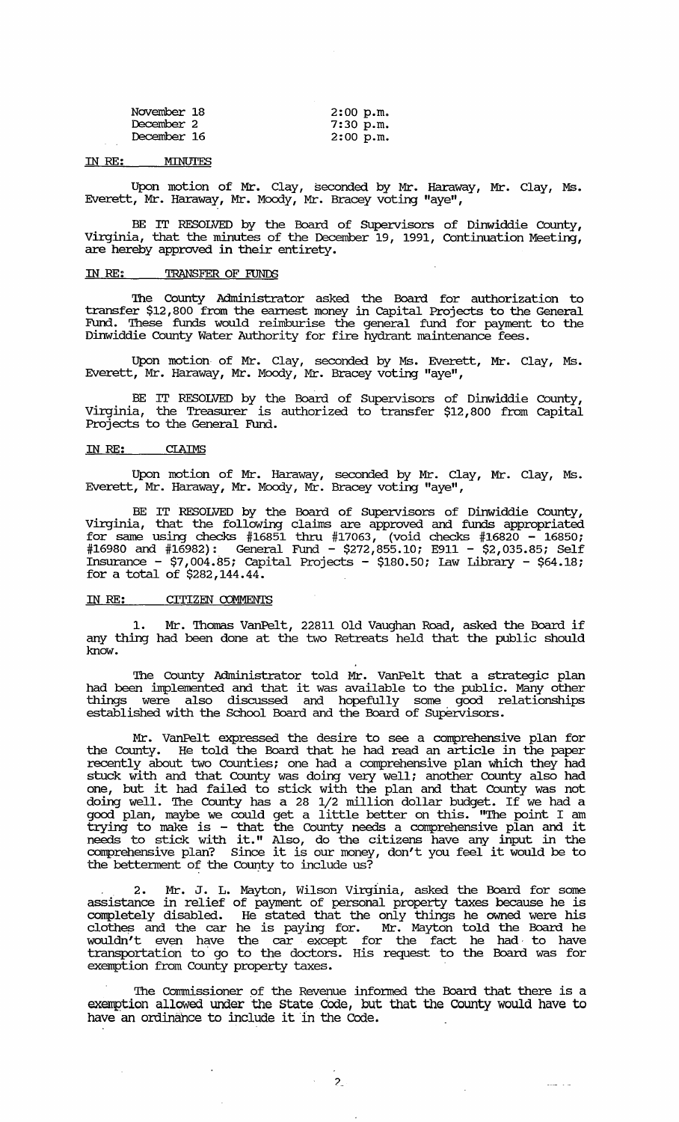| November 18 | $2:00$ p.m. |
|-------------|-------------|
| December 2  | 7:30 p.m.   |
| December 16 | $2:00$ p.m. |

#### IN RE: MINUTES

Upon motion of Mr. Clay, seconded by Mr. Haraway, Mr. Clay, Ms. Everett, Mr. Haraway, Mr. Moody, Mr. Bracey voting "aye",

BE IT RESOLVED by the Board of SUpervisors of Dinwiddie County, Virginia, that the minutes of the December 19, 1991, Continuation Meeting, are hereby approved in their entirety.

#### **IN RE: TRANSFER OF FUNDS**

The County Administrator asked the Board for authorization to transfer \$12,800 from the earnest money in capital Projects to the General Fund. These funds would reimburise the general fund for payment to the Dinwiddie County Water Authority for fire hydrant maintenance fees.

Upon motion of Mr. Clay, seconded by Ms. Everett, Mr. Clay, Ms. Everett, Mr. Haraway, Mr. Moody, Mr. Bracey voting "aye",

BE IT RESOLVED by the Board of Supervisors of Dinwiddie County, Virginia, the Treasurer is authorized to transfer \$12,800 from capital Projects to the General Fund.

#### IN *RE:* CIAIMS

Upon motion of Mr. Haraway, seconded by Mr. Clay, Mr. Clay, Ms. Everett, Mr. Haraway, Mr. Moody, Mr. Bracey voting "aye",

BE IT RESOLVED by the Board of Supervisors of Dinwiddie County, Virginia, that the following claims are approved and funds appropriated for same using checks #16851 thru #17063, (void checks #16820 - 16850; #16980 and #16982): General Fund - \$272,855.10; E911 - \$2,035.85; Self Insurance - \$7,004.85; Capital Projects - \$180.50; Law Library - \$64.18; for a total of  $$282,144.44$ .

## IN *RE:* CITIZEN COMMENTS

 $\ddot{\phantom{1}}$ 

1. Mr. Thomas VanPelt, 22811 Old Vaughan Road, asked the Board if any thing had been done at the two Retreats held that the public should know.

The County Administrator told Mr. VanPelt that a strategic plan had been implemented and that it was available to the public. Many other things were also discussed and hopefully some good relationships established with the School Board and the Board of supervisors.

Mr. VanPelt expressed the desire to see a comprehensive plan for the County. He told the Board that he had read an article in the paper recently about two Counties; one had a comprehensive plan which they had stuck with and that County was doing very well; another County also had stack with and that county was doing very well, abouter county also had doing well. The County has a 28 1/2 million dollar budget. If we had a good plan, maybe we could get a little better on this. "The point I am trying to make is - that the County needs a comprehensive plan and it needs to stick with it." Also, do the citizens have any input in the comprehensive plan? since it is our money, don't you feel it would be to the betterment of the County to include us?

. 2. Mr. J. L. Mayton, Wilson Virginia, asked the Board for some assistance in relief of payment of personal property taxes because he is completely disabled. He stated that the only things he owned were his comprecity distance. The Board did die only dilings he omed water instance of wouldn't even have the car except for the fact he had to have transportation to· go to the doctors. His request to the Board was for exemption from County property taxes.

The Commissioner of the Revenue informed the Board that there is a exemption allowed under the State Code, but that the County would have to have an ordinance to include it in the Code.

 $\sim 100$   $\sim 100$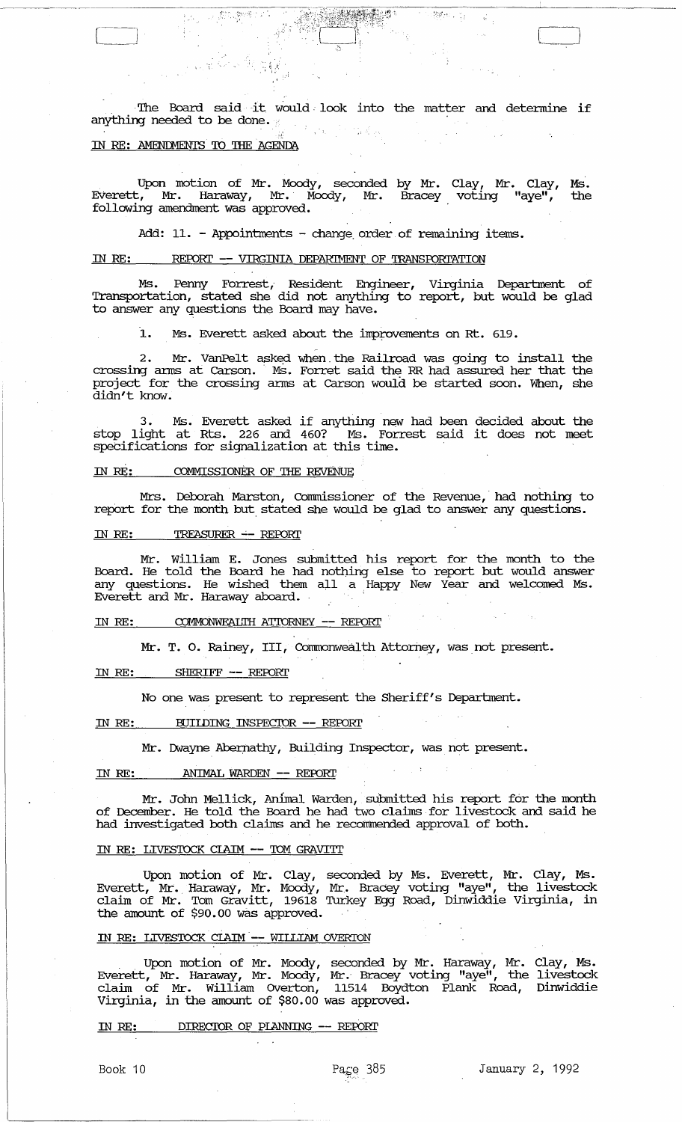The Board said it would look into the matter and determine if anything needed to be done.  $\mathcal{F}_{\text{eff}}^{\text{max}}$ 

[-------,J

 $\frac{1}{2} \sum_{i=1}^n \frac{1}{2} \sum_{i=1}^n \frac{1}{2} \sum_{i=1}^n \frac{1}{2} \sum_{i=1}^n \frac{1}{2} \sum_{i=1}^n \frac{1}{2} \sum_{i=1}^n \frac{1}{2} \sum_{i=1}^n \frac{1}{2} \sum_{i=1}^n \frac{1}{2} \sum_{i=1}^n \frac{1}{2} \sum_{i=1}^n \frac{1}{2} \sum_{i=1}^n \frac{1}{2} \sum_{i=1}^n \frac{1}{2} \sum_{i=1}^n \frac{1}{2} \sum_{i=$ 

 $\mathcal{L}_{\mathcal{A}}$ 

# IN RE: AMENDMENTS TO THE AGENDA

第58章 解释

Upon motion of Mr. Moody, seconded by Mr. Clay, Mr. Clay, Ms. EVerett, Mr. Haraway, Mr.· Moody, Mr. Bracey voting "aye", the following amendment was approved.

Add: 11. - Appointments - change order of remaining items.

# IN RE: REPORT -- VIRGINIA DEPARIMENT OF TRANSFORTATION

Ms. Permy Forrest, Resident Engineer, Virginia Department of Transportation, stated she did not anything to report, but would be glad to answer any questions the Board may have.

1. Ms. Everett asked about the improvements on Rt. 619.

2. Mr. VanPelt asked when the Railroad was going to install the crossing arms at Carson. Ms. Forret said the RR had assured her that the project for the crossing arms at Carson would be started soon. When, she didn't know.

3. Ms. Everett asked if anything new had been decided about the stop light at Rts. 226 and 460? Ms. Forrest said it does not meet speCifications for signalization at this time.

#### IN RE: COMMISSIONER OF THE REVENuE

Mrs. Deborah Marston, Commissioner of the Revenue, had nothing to report for the month but. stated she would be glad to answer any questions.

#### IN RE: TREASURER -- REPORT

Mr. William E. Jones submitted his report for the month to the Board. He told the Board he had notning else to report but would answer any questions. He wished them all a Happy New Year and welcomed Ms. Everett and Mr. Haraway aboard. .

IN RE: COMMONWEAL'll:I ATIORNEY **--** REFDRl' .

Mr. T. O. Rainey, III, Commonwealth Attorney, was not present.

#### IN RE: SHERIFF **--** REFDRl'

No one was present to represent the Sheriff's Department.

#### IN RE: BUIIDING INSPECIOR **--** REFDRl'

Mr. Dwayne Abernathy, Building Inspector, was not present.

#### IN RE: **ANIMAL WARDEN** -- REPORT

Mr. John Mellick, Animal Warden, submitted his report for the month of December. He told the Board he had two claims for livestock and said he had investigated both claims and he recommended approval of both.

#### IN RE: LIVESTOCK CIAIM -- TOM GRAVITT

Upon motion of Mr. Clay, seconded by Ms. Everett, Mr. Clay, Ms. Everett, Mr. Haraway, Mr. Moody, Mr. Bracey voting "aye", the livestock claim of Mr. Tom Gravitt, 19618 Turkey Egg Road, Dinwiddie Virginia, in the amount of \$90.00 was approved.

#### IN RE: LIVES'lDCK CIAIM· **--** WILLIAM OVERTON

. Upon motion of Mr. Moody, seconded by Mr. Haraway, Mr. Clay, Ms. Everett, Mr. Haraway, Mr. Moody, Mr.· Bracey voting "aye", the livestock claim of Mr. William OVerton, 11514 Boydton Plank Road, Dinwiddie Virginia, in the amount of \$80.00 was approved.

## IN RE: DIRECTOR OF PLANNING -- REPORT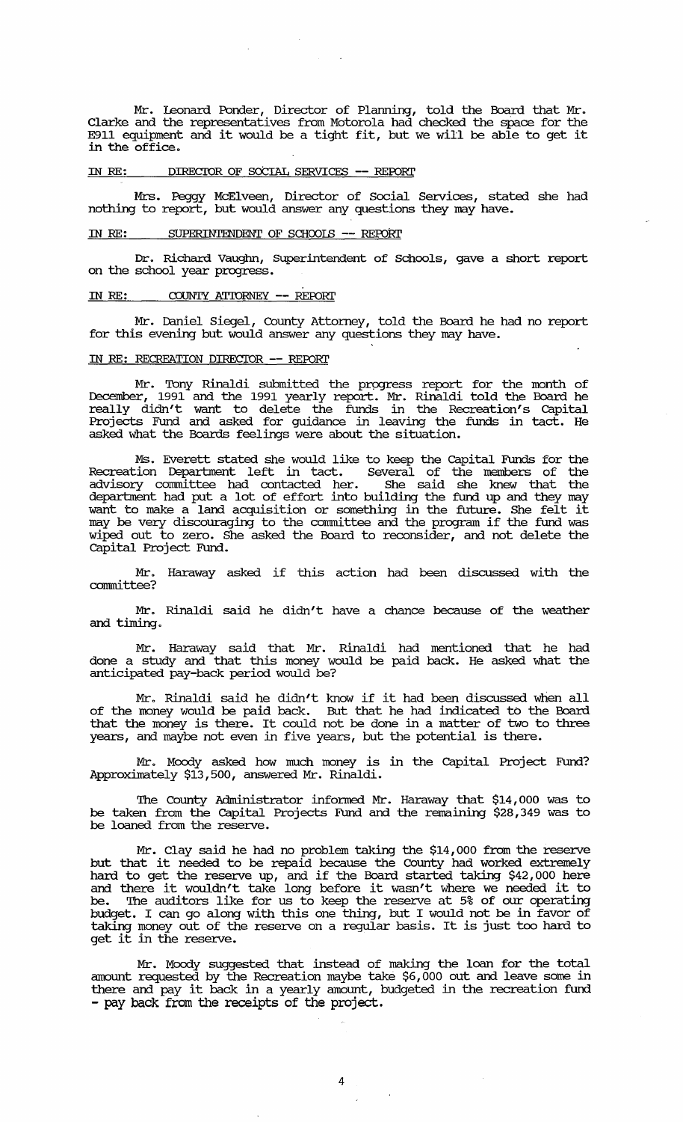Mr. leonard Ponder, Director of Planning, told the Board that Mr. Clarke and the representatives from Motorola had checked the space for the E911 equipment and it would be a tight fit, but we will be able to get it in the office.

### IN *RE:* DIRECIOR OF SOCIAL SERVICES -- REroRI'

Mrs. Peggy McElveen, Director of Social Services, stated she had nothing to report, but would answer any questions they may have.

## IN RE: SUPERINTENDENT OF SCHOOLS -- REPORT

Dr. Richard Vauglm, SUperintendent of Schools, gave a short report on the school year progress.

## IN RE: COUNTY ATIORNEY -- REPORI'

Mr. Daniel Siegel, County Attorney, told the Board he had no report for this evening but would answer any questions they may have.

### IN RE: RECREATION DIRECIOR -- REroRI'

Mr. Tony Rinaldi submitted the progress report for the month of December, 1991 and the 1991 yearly report. Mr. Rinaldi told the Board he really didn't want to delete the funds in the Recreation's capital Projects Fund and asked for guidance in leaving the funds in tact. He asked what the Boards feelings were about the situation.

Ms. Everett stated she would like to keep the capital FUnds for the Recreation Department left in tact. Several of the members of the advisory committee had contacted her. She said she knew that the department had put a lot of effort into building the fund up and they may want to make a land acquisition or something in the future. She felt it want to make a fail acquisition of someting in the future. She felt it wiped out to zero. She asked the Board to reconsider, and not delete the capital Project Fund.

Mr. Haraway asked if this action had been discussed with the committee?

Mr. Rinaldi said he didn't have a chance because of the weather and timing.

Mr. Haraway said that Mr. Rinaldi had mentioned that he had done a study and that this money would be paid back. He asked what the anticipated pay-back period would be?

Mr. Rinaldi said he didn/t know if it had been discussed when all of the money would be paid back. But that he had indicated to the Board that the money is there. It could not be done in a matter of two to three years, and maybe not even in five years, but the potential is there.

Mr. Moody asked how much money is in the capital Project Fund? Approxilnately \$13,500, answered Mr. Rinaldi.

The County Administrator informed Mr. Haraway that \$14,000 was to be taken from the capital Projects Fund and the remaining \$28,349 was to be loaned from the reserve.

Mr. Clay said he had no problem taking the \$14, 000 from the reserve but that it needed to be repaid because the County had worked extremely hard to get the reserve up, and if the Board started taking \$42,000 here and there it wouldn't take long before it wasn't where we needed it to be. '!he auditors like for us to keep the reserve at 5% of our operating budget. I can go along with this one thing, but I would not be in favor of taking money out of the reserve on a regular basis. It is just too hard to taking money out of the<br>get it in the reserve.

Mr. Moody suggested that instead of making the loan for the total amount requested by the Recreation maybe take \$6, 000 out and leave some in there and pay it back in a yearly amount, budgeted in the recreation fund - pay back from the receipts of the project.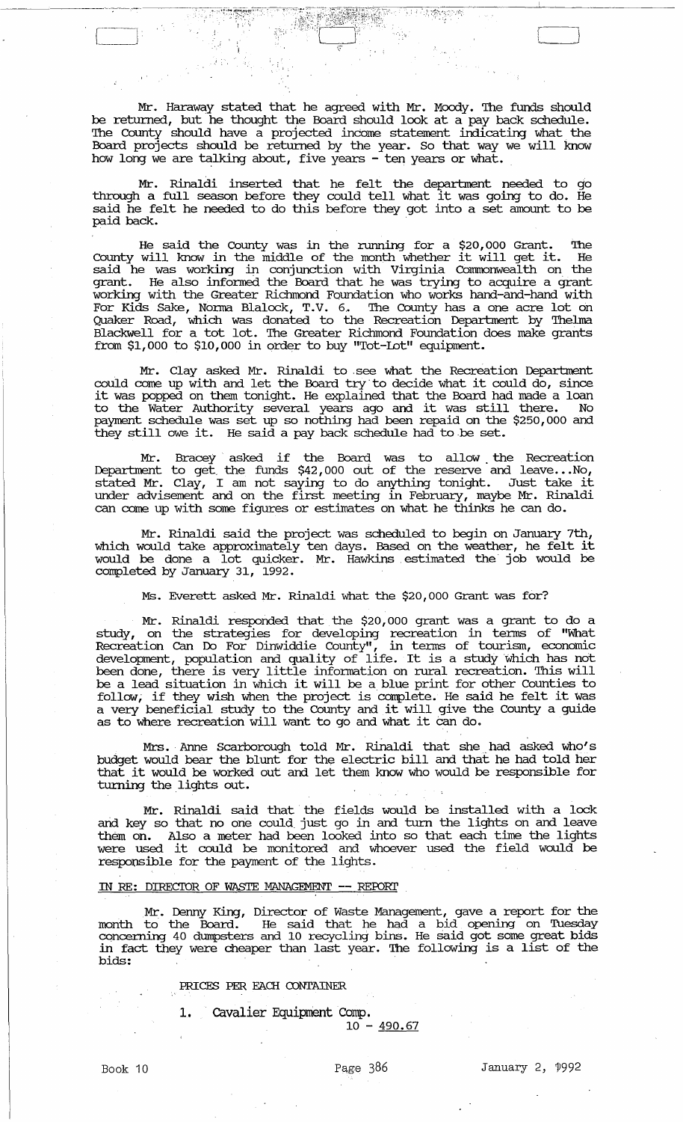Mr. Haraway stated that he agreed with Mr. Moody. The funds should be returned, but he thought the Board should look at a pay back schedule. The County should have a projected income statement indicating what the Board projects should be returned by the year. So that way we will know how long we are talking about, five years - ten years or what.

Mr. Rinaldi inserted that he felt the department needed to go through a full season before they could tell what it was going to do. He said he felt he needed to do this before they got into a set amount to be paid back.

He said the County was in the running for a \$20,000 Grant. The County will know in the middle of the month whether it will get it. He said he was working in conjunction with Virginia Comnonwealth on the grant. He also infonned the Board that he was trying to acquire a grant working with the Greater Richmond Foundation who works hand-and-hand with For Kids Sake, Nonna Blalock, T.V. 6.. '!he County has a one acre lot on Quaker Road, which was donated to the Recreation Department by Thelma Blackwell for a tot lot. '!he Greater Richmond Foundation does make grants from \$1,000 to \$10,000 in order to buy "Tot-lot" equipment.

Mr. Clay asked Mr. Rinaldi to see what the Recreation Department could come up with and let the Board try to decide what it could do, since it was popped on them tonight. He explained that the Board had made a loan to the Water Authority several years ago and it was still there. No payment schedule was set up so nothing had been repaid on the \$250,000 and they still owe it. He said a pay back schedule had to be set.

Mr. Bracey asked if the Board was to allow. the Recreation Department to get the funds \$42,000 out of the reserve and leave... No, stated Mr. Clay, I am not saying to do anything tonight. Just take it under advisement and on the first meeting in February, maybe Mr. Rinaldi can come up with some figures or estimates on what he thinks he can do.

Mr. Rinaldi said the project was scheduled to begin on January 7th, which would take approximately ten days. Based on the weather, he felt it would be done a lot quicker. Mr. Hawkins estimated the job would be completed by January 31, 1992.

Ms. Everett asked Mr. Rinaldi what the \$20,000 Grant was for?

Mr. Rinaldi responded that the \$20,000 grant was a grant to do a study, on the strategies for developing recreation in terms of "What Recreation Can Do For Dinwiddie County", in terms of tourism, economic development, population and quality of life. It is a study which has not been done, there is very little information on rural recreation. This will be a lead situation in which it will be a blue print for other Counties to be a lead situation in which it will be a blue print for other counties to follow, if they wish when the project is complete. He said he felt it was a very beneficial study to the County and it will give the County a guide a very beneficial study to the County and it will give u.<br>as to where recreation will want to go and what it can do.

Mrs. Anne Scarborough told Mr. Rinaldi that she had asked who's budget would bear the blunt for the electric bill and that he had told her that it would be worked out and let them know who would be responsible for turning the lights out.

Mr. Rinaldi said that the fields would be installed with a lock and key so that no one could just go in and turn the lights on and leave them on. Also a meter had been looked into so that each time the lights were used it could be monitored and whoever used the field would be responsible for the payment of the lights.

## IN RE: DIRECIDR OF WASTE MANAGEMENT **--** RErom'

Mr. Denny King, Director of Waste Management, gave a report for the month to the Board. He said that he had a bid opening on Tuesday concerning 40 dumpsters and 10 recycling bins. He said got some great bids in fact they were cheaper than last year. The following is a list of the bids:

# *PRICES* PER EACH CONTAINER

1. Cavalier Equipment Comp.

 $10 - 490.67$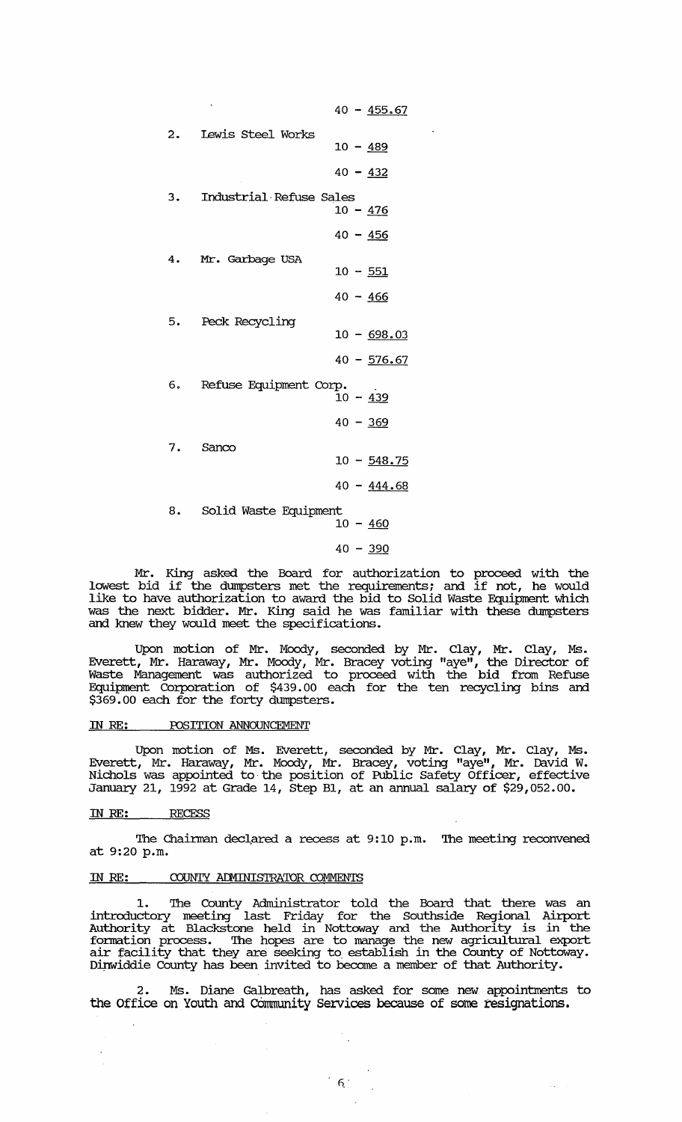|                                                    | $40 - 455.67$ |
|----------------------------------------------------|---------------|
| 2. Lewis Steel Works                               | $10 - 489$    |
|                                                    |               |
|                                                    | $40 - 432$    |
| 3. Industrial Refuse Sales                         | $10 - 476$    |
|                                                    | $40 - 456$    |
| 4. Mr. Garbage USA                                 | $10 - 551$    |
|                                                    |               |
|                                                    | $40 - 466$    |
| 5. Peck Recycling                                  | $10 - 698.03$ |
|                                                    | $40 - 576.67$ |
| 6. Refuse Equipment Corp.<br>$10 - \frac{439}{10}$ |               |
|                                                    |               |
|                                                    | $40 - 369$    |
| 7. Sanco                                           |               |
|                                                    | $10 - 548.75$ |
| 8. Solid Waste Equipment                           | $40 - 444.68$ |
|                                                    | $10 - 460$    |
|                                                    |               |
|                                                    | $40 - 390$    |

Mr. King asked the Board for authorization to proceed with the lowest bid if the dumpsters met the requirements; and if not, he would like to have authorization to award the bid to Solid Waste Equipment which was the next bidder. Mr. King said he was familiar with these dumpsters and knew they would meet the specifications.

Upon motion of Mr. Moody, seconded by Mr. Clay, Mr. Clay, Ms. Everett, Mr. Haraway, Mr. Moody, Mr. Bracey voting "aye", the Director of Waste Management was authorized to proceed with the bid from Refuse Equipment corporation of \$439.00 each for the ten recycling bins and \$369.00 each for the forty dmnpsters.

### IN RE: POSITION ANNOUNCEMENT

Upon motion of Ms. Everett, seconded by Mr. Clay, Mr. Clay, Ms. Everett, Mr. Haraway, Mr. Moody, Mr. Bracey, voting "aye", Mr. David W. Nichols was appointed to·the position of Public Safety Officer, effective January 21, 1992 at Grade 14, Step B1, at an annual salary of \$29,052.00.

#### IN RE: RECESS

The Chairman declared a recess at 9:10 p.m. The meeting reconvened at 9:20 p.m.

## IN RE: COUNTY ADMINISTRATOR COMMENTS

1. 'Ihe County Administrator told the Board that there was an introductory meeting last Friday for the Southside Regional Airport Authority at Blackstone held in Nottoway and the Authority is in the fornation process. 'Ihe hopes are to manage the new agricultural export air facility that they are seeking to establish in the County of Nottoway. Dinwiddie County has been invited to become a member of that Authority.

2. Ms. Diane Galbreath, has asked for some new appointments to the Office on Youth and Community Services because of some resignations.

 $\left[ \begin{array}{c} 6 \end{array} \right]$ 

 $\mathcal{L}_{\text{max}}$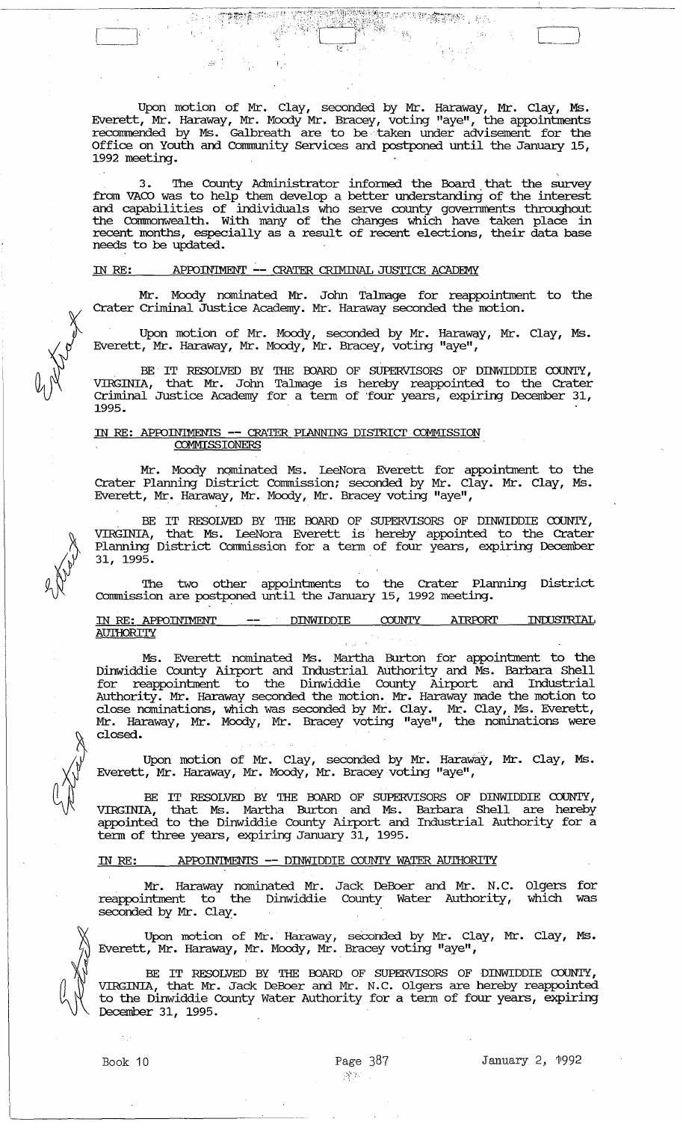Upon motion of Mr. Clay, seconded by Mr. Haraway, Mr. Clay, Ms. Everett, Mr. Haraway, Mr. Moody Mr. Bracey, voting "aye", the appointments recommended by Ms. Galbreath are to be taken under advisement for the Office on Youth and community services and postponed until the January 15, 1992 meeting.

STORE TO SALE TO ALTER

3. The County Administrator informed the Board that the survey from VACO was to help them develop a better understanding of the interest and capabilities of individuals who serve county governments throughout the Connnonwealth. with many of the changes which have taken place in recent months, especially as a result of recent elections, their data base needs to be updated.

# IN RE: APFUINIMENT **--** CRATER CRIMINAL JUSTICE ACADEMY

! , '

:~~~.~ ~.7·i~"· : ; ~". I

Mr. Moody nominated Mr. John Talmage for reappointment to the Crater Criminal Justice Academy. Mr·. Haraway seconded the motion.

Upon motion of Mr. Moody, seconded by Mr. Harawgy, Mr. Clay, Ms. Everett, Mr. Haraway, Mr. Moody, Mr. Bracey, voting "aye",

BE IT RESOLVED BY THE BOARD OF SUPERVISORS OF DINWIDDIE COUNTY, VIRGINIA, that Mr. John Talmage is hereby reappointed to the Crater Criminal Justice Academy for a tenn of 'four years, expiring December 31, 1995.

#### IN RE: APPOINIMENTS -- CRATER PIANNING DISTRICT COMMISSION **COMMISSIONERS**

Mr. Moody nominated Ms. LeeNora Everett for appointment to the Crater Planning District Commission; seconded by Mr. Clay. Mr. Clay, Ms. Everett, Mr. Haraway, Mr. Moody, Mr. Bracey voting "aye",

BE IT RESOLVED BY THE BOARD OF SUPERVISORS OF DINWIDDIE COUNTY, VIRGINIA, that Ms. LeeNora Everett is· hereby appointed to the Crater Planning District comnission for a tenn of four years, expiring December 31, 1995.

The two other appointments to the Crater Planning District corrrrnission are postponed until the January 15, 1992 meeting.

# IN RE: APPOINIMENT -- DINWIDDIE COUNTY AIRPORT INIUSTRIAL AD'IHORITY

Ms. Everett nominated Ms. Martha Burton for appointment to the Dinwiddie County Airport and Industrial Authority and Ms. Barbara Shell for reappointment to the Dinwiddie County Airport and Industrial Authority. Mr. Haraway seconded the motion. Mr. Haraway made the motion to close nominations, which was seconded by Mr. Clay. Mr. Clay, Ms. Everett, Mr. Haraway, Mr. Moody, Mr. Bracey voting "aye", the nominations were closed.

Upon motion of Mr. Clay, seconded by Mr. Haraway, Mr. Clay, Ms. Everett, Mr. Haraway, Mr. Moody, Mr. Bracey voting "aye",

BE IT RESOLVED BY THE BOARD OF SUPERVISORS OF DINWIDDIE COUNTY,<br>VIRGINIA, that Ms. Martha Burton and Ms. Barbara Shell are hereby that Ms. Martha Burton and Ms. Barbara Shell are hereby appointed to the Dinwiddie County Airport and Industrial Authority for a tenn of three years, expiring January 31, 1995.

# IN RE: APPOINTMENTS -- DINWIDDIE COUNTY WATER AUTHORITY

Mr. Haraway nominated Mr. Jack DeBoer and Mr. N.C. Olgers for reappointment to the Dinwiddie County· Water Authority, which was seconded by Mr. Clay.

Upon motion of Mr. Haraway, seconded by Mr. Clay, Mr. Clay, Ms. Everett, Mr. Haraway, Mr. Moody, Mr. Bracey voting "aye",

BE IT RESOLVED BY THE BOARD OF SUPERVISORS OF DINWIDDIE COUNTY, VIRGINIA, that Mr. Jack DeBoer and Mr. N.C. Olgers are hereby reappointed to the Dinwiddie County Water Authority for a tenn of four years, expiring December 31, 1995.





 $\Box$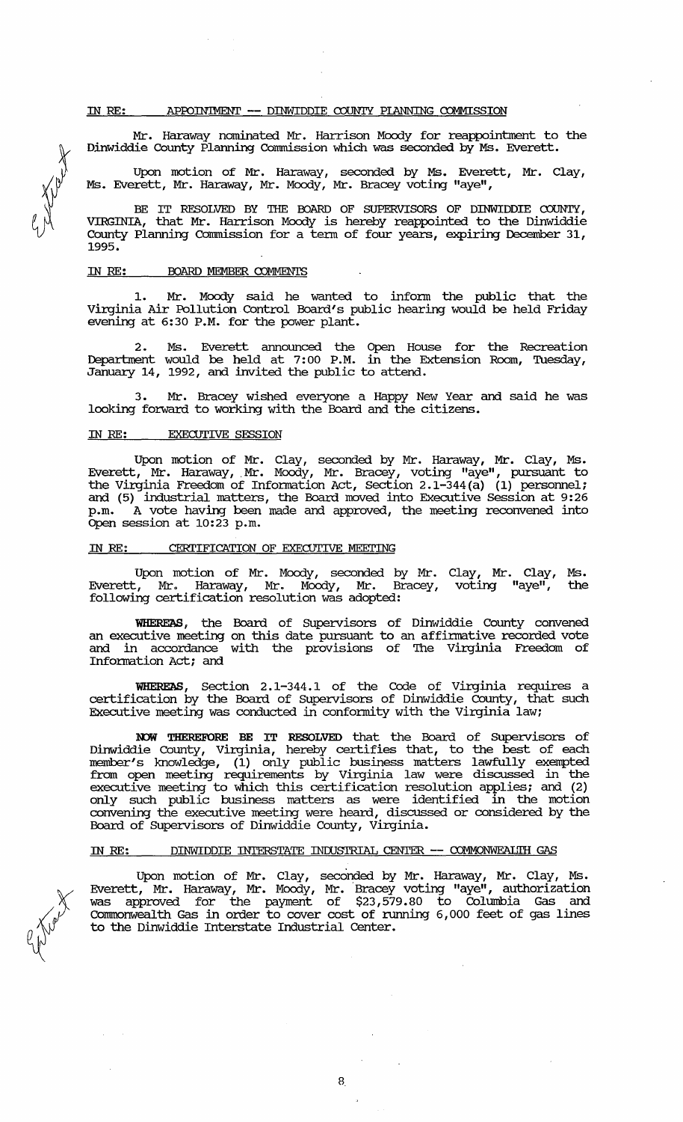#### IN RE: APPOINIMENT -- DINWIDDIE COUNTY PLANNING COMMISSION

Mr. Haraway nominated Mr. Harrison Moody for reappointment to the Dinwiddie County Planning Commission which was seconded by Ms. Everett.

Upon motion of Mr. Haraway, seconded by Ms. Everett, Mr. Clay, Ms. Everett, Mr. Haraway, Mr. Moody, Mr. Bracey voting "aye",

BE IT RESOLVED BY THE BOARD OF SUPERVISORS OF DINWIDDIE COUNTY, VIRGINIA, that Mr. Harrison Moody is hereby reappointed to the Dinwiddie County Planning Commission for a term of four years, expiring December 31, 1995.

#### IN RE: BOARD MEMBER COMMENTS

1. Mr. Moody said he wanted to infonn the public that the Virginia Air Pollution Control Board's public hearing would be held Friday evening at 6:30 P.M. for the power plant.

2. Ms. Everett announced the Open House for the Recreation Department would be held at 7:00 P.M. in the Extension Room, Tuesday, January 14, 1992, and invited the public to attend.

3. Mr. Bracey wished everyone a Happy New Year and said he was looking forward to working with the Board and the citizens.

#### IN RE: EXECUTIVE SESSION

Upon motion of Mr. Clay, seconded by Mr. Haraway, Mr. Clay, Ms. Everett, Mr. Haraway, Mr. Moody, Mr. Bracey, voting "aye", pursuant to the Virginia Freedom of Information Act, Section 2.1-344(a) (1) personnel; and (5) industrial matters, the Board moved into Executive Session at 9:26 p.m. A vote having been made and approved, the meeting reconvened into Open session at 10:23 p.m.

## IN RE: CERTIFICATION OF EXECUTIVE MEETING

Upon motion of Mr. Moody, seconded by Mr. Clay, Mr. Clay, Ms. Everett, Mr. Haraway, Mr. Moody, Mr. Bracey, voting "aye", the following certification resolution was adopted:

WHEREAS, the Board of SUpervisors of Dinwiddie County convened an executive meeting on this date pursuant to an affirmative recorded vote and in accordance with the provisions of The Virginia Freedom of Information Act; and

WHEREAS, Section 2.1-344.1 of the Code of Virginia requires a certification by the Board of Supervisors of Dinwiddie County, that such Executive meeting was conducted in confonnity with the Virginia law;

NOW THEREFORE BE IT RESOLVED that the Board of Supervisors of Dinwiddie County, Virginia, hereby certifies that, to the best of each member's knowledge, (1) only public business matters lawfully exempted from open meeting requirements by Virginia law were discussed in the executive meeting to which this certification resolution applies; and (2) only such public business matters as were identified in the motion convening the executive meeting were heard, discussed or considered by the Board of supervisors of Dinwiddie County, virginia.

## IN RE: DINWIDDIE INTERSTATE INDUSTRIAL CENTER -- COMMONWEALTH GAS

Upon motion of Mr. Clay, seconded by Mr. Haraway, Mr. Clay, Ms. Everett, Mr. Haraway, Mr. Moody, Mr. Bracey voting "aye", authorization was approved for the payment of \$23,579.80 to Columbia Gas and Connnonweal th Gas in order to cover cost of running 6,000 feet of gas lines to the Dinwiddie Interstate Industrial Center.

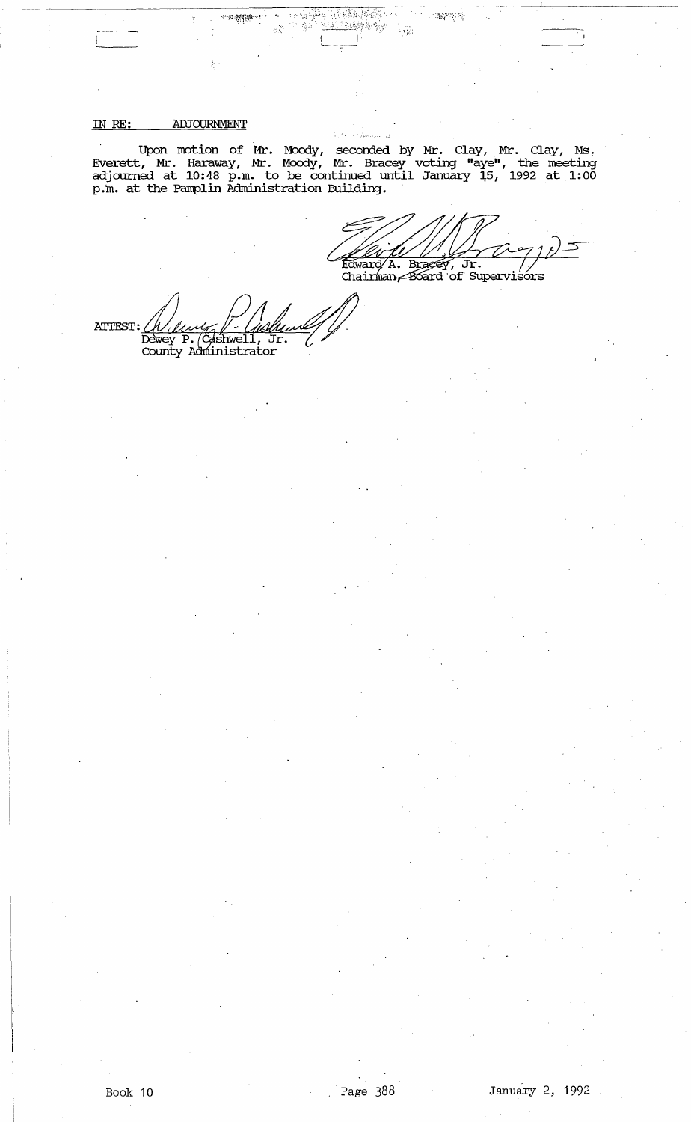#### ADJOURNMENT IN RE:

Upon motion of Mr. Moody, seconded by Mr. Clay, Mr. Clay, Ms.<br>Everett, Mr. Haraway, Mr. Moody, Mr. Bracey voting "aye", the meeting<br>adjourned at 10:48 p.m. to be continued until January 15, 1992 at 1:00<br>p.m. at the Pamplin  $\ddot{\phantom{a}}$ 

辦場館

Edward A. Bracey, Jr. //<br>Chairman Board of Supervisors

。<br>「小海路水源

 $\langle \sigma_{\rm M}^2 \rangle$ 

ATTEST: UU Dewey P. (Cashwell, Jr. County Administrator l.

Page 388